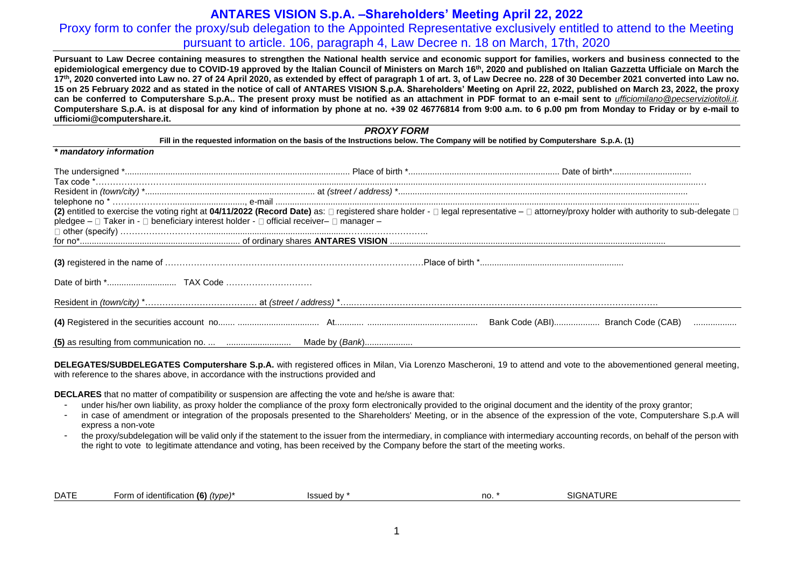# Proxy form to confer the proxy/sub delegation to the Appointed Representative exclusively entitled to attend to the Meeting pursuant to article. 106, paragraph 4, Law Decree n. 18 on March, 17th, 2020

**Pursuant to Law Decree containing measures to strengthen the National health service and economic support for families, workers and business connected to the epidemiological emergency due to COVID-19 approved by the Italian Council of Ministers on March 16th, 2020 and published on Italian Gazzetta Ufficiale on March the**  17th, 2020 converted into Law no. 27 of 24 April 2020, as extended by effect of paragraph 1 of art, 3, of Law Decree no, 228 of 30 December 2021 converted into Law no. 15 on 25 February 2022 and as stated in the notice of call of ANTARES VISION S.p.A. Shareholders' Meeting on April 22, 2022, published on March 23, 2022, the proxy **can be conferred to Computershare S.p.A.. The present proxy must be notified as an attachment in PDF format to an e-mail sent to** *[ufficiomilano@pecserviziotitoli.it.](mailto:ufficiomilano@pecserviziotitoli.it)* **Computershare S.p.A. is at disposal for any kind of information by phone at no. +39 02 46776814 from 9:00 a.m. to 6 p.00 pm from Monday to Friday or by e-mail to ufficiomi@computershare.it.**

### *PROXY FORM* **Fill in the requested information on the basis of the Instructions below. The Company will be notified by Computershare S.p.A. (1)**

| * mandatory information                                                                 |  |
|-----------------------------------------------------------------------------------------|--|
|                                                                                         |  |
|                                                                                         |  |
|                                                                                         |  |
|                                                                                         |  |
|                                                                                         |  |
| pledgee – □ Taker in - □ beneficiary interest holder - □ official receiver– □ manager – |  |
|                                                                                         |  |
|                                                                                         |  |
|                                                                                         |  |
|                                                                                         |  |
|                                                                                         |  |
|                                                                                         |  |
|                                                                                         |  |

**DELEGATES/SUBDELEGATES Computershare S.p.A.** with registered offices in Milan, Via Lorenzo Mascheroni, 19 to attend and vote to the abovementioned general meeting, with reference to the shares above, in accordance with the instructions provided and

**DECLARES** that no matter of compatibility or suspension are affecting the vote and he/she is aware that:

- under his/her own liability, as proxy holder the compliance of the proxy form electronically provided to the original document and the identity of the proxy grantor;
- in case of amendment or integration of the proposals presented to the Shareholders' Meeting, or in the absence of the expression of the vote, Computershare S.p.A will express a non-vote
- the proxy/subdelegation will be valid only if the statement to the issuer from the intermediary, in compliance with intermediary accounting records, on behalf of the person with the right to vote to legitimate attendance and voting, has been received by the Company before the start of the meeting works.

|  | <b>DATE</b> | $\cdots$<br>(6)<br>orm<br>(tvpe)<br>entific<br>$\sim$<br> | 1001100<br>. | no. | ſIJRF<br><b>SICNIA</b> |  |
|--|-------------|-----------------------------------------------------------|--------------|-----|------------------------|--|
|--|-------------|-----------------------------------------------------------|--------------|-----|------------------------|--|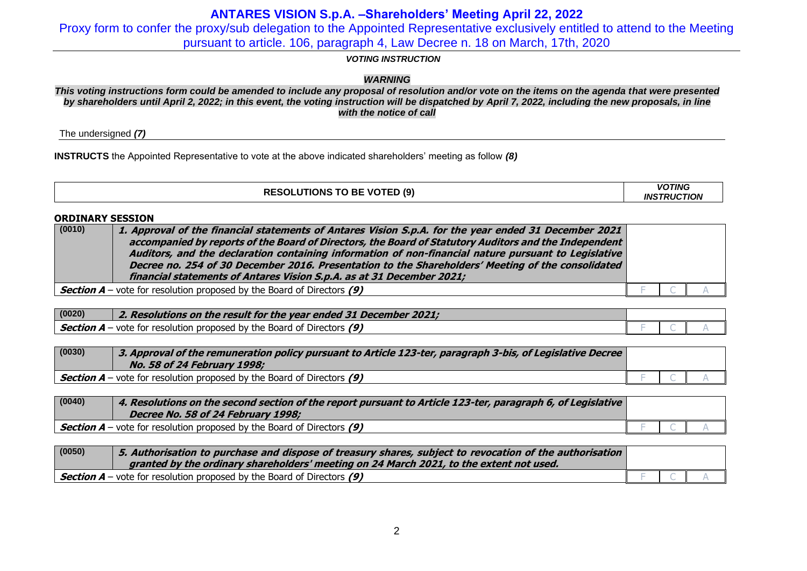Proxy form to confer the proxy/sub delegation to the Appointed Representative exclusively entitled to attend to the Meeting pursuant to article. 106, paragraph 4, Law Decree n. 18 on March, 17th, 2020

### *VOTING INSTRUCTION*

## *WARNING*

*This voting instructions form could be amended to include any proposal of resolution and/or vote on the items on the agenda that were presented by shareholders until April 2, 2022; in this event, the voting instruction will be dispatched by April 7, 2022, including the new proposals, in line with the notice of call*

The undersigned *(7)*

**INSTRUCTS** the Appointed Representative to vote at the above indicated shareholders' meeting as follow *(8)*

| <b>RESOLUTIONS TO BE VOTED (9)</b> | <b>VOTING</b><br><b>INSTRUCTION</b> |
|------------------------------------|-------------------------------------|
|------------------------------------|-------------------------------------|

### **ORDINARY SESSION**

| (0010) | 1. Approval of the financial statements of Antares Vision S.p.A. for the year ended 31 December 2021<br>accompanied by reports of the Board of Directors, the Board of Statutory Auditors and the Independent |  |  |
|--------|---------------------------------------------------------------------------------------------------------------------------------------------------------------------------------------------------------------|--|--|
|        | Auditors, and the declaration containing information of non-financial nature pursuant to Legislative                                                                                                          |  |  |
|        | Decree no. 254 of 30 December 2016. Presentation to the Shareholders' Meeting of the consolidated                                                                                                             |  |  |
|        | financial statements of Antares Vision S.p.A. as at 31 December 2021;                                                                                                                                         |  |  |
|        | <b>Section A</b> – vote for resolution proposed by the Board of Directors (9)                                                                                                                                 |  |  |

| (0020) | 2. Resolutions on the result for the year ended 31 December 2021;             |  |  |
|--------|-------------------------------------------------------------------------------|--|--|
|        | <b>Section A</b> – vote for resolution proposed by the Board of Directors (9) |  |  |

| (0030) | 3. Approval of the remuneration policy pursuant to Article 123-ter, paragraph 3-bis, of Legislative Decree<br>No. 58 of 24 February 1998; |  |  |
|--------|-------------------------------------------------------------------------------------------------------------------------------------------|--|--|
|        | $\frac{1}{2}$ Section A – vote for resolution proposed by the Board of Directors (9)                                                      |  |  |

| (0040) | 4. Resolutions on the second section of the report pursuant to Article 123-ter, paragraph 6, of Legislative<br>Decree No. 58 of 24 February 1998; |  |  |
|--------|---------------------------------------------------------------------------------------------------------------------------------------------------|--|--|
|        | <b>Section A</b> – vote for resolution proposed by the Board of Directors $(9)$                                                                   |  |  |

| (0050) | 5. Authorisation to purchase and dispose of treasury shares, subject to revocation of the authorisation |  |  |
|--------|---------------------------------------------------------------------------------------------------------|--|--|
|        | granted by the ordinary shareholders' meeting on 24 March 2021, to the extent not used.                 |  |  |
|        | Section $A$ – vote for resolution proposed by the Board of Directors (9)                                |  |  |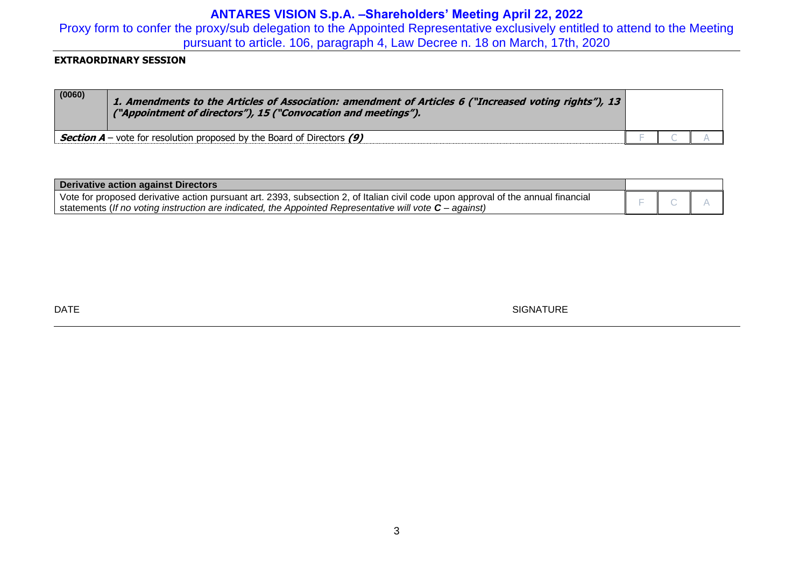Proxy form to confer the proxy/sub delegation to the Appointed Representative exclusively entitled to attend to the Meeting pursuant to article. 106, paragraph 4, Law Decree n. 18 on March, 17th, 2020

## **EXTRAORDINARY SESSION**

| (0060) | 1. Amendments to the Articles of Association: amendment of Articles 6 ("Increased voting rights"), 13<br>("Appointment of directors"), 15 ("Convocation and meetings"). |  |  |
|--------|-------------------------------------------------------------------------------------------------------------------------------------------------------------------------|--|--|
|        | <b>Section A</b> – vote for resolution proposed by the Board of Directors (9)                                                                                           |  |  |

| <b>Derivative action against Directors</b>                                                                                        |  |  |
|-----------------------------------------------------------------------------------------------------------------------------------|--|--|
| Vote for proposed derivative action pursuant art. 2393, subsection 2, of Italian civil code upon approval of the annual financial |  |  |
| statements (If no voting instruction are indicated, the Appointed Representative will vote $C$ – against)                         |  |  |

DATE SIGNATURE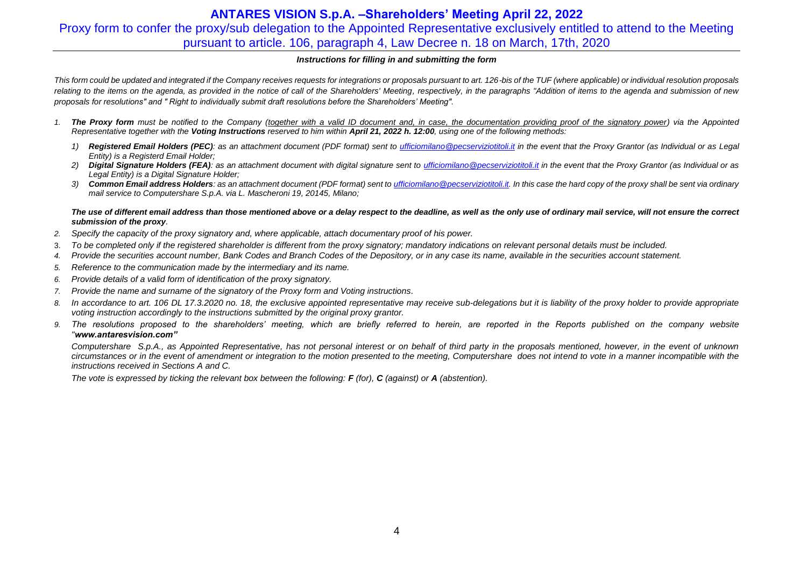# **ANTARES VISION S.p.A. –Shareholders' Meeting April 22, 2022** Proxy form to confer the proxy/sub delegation to the Appointed Representative exclusively entitled to attend to the Meeting pursuant to article. 106, paragraph 4, Law Decree n. 18 on March, 17th, 2020

### *Instructions for filling in and submitting the form*

This form could be updated and integrated if the Company receives requests for integrations or proposals pursuant to art. 126-bis of the TUF (where applicable) or individual resolution proposals relating to the items on the agenda, as provided in the notice of call of the Shareholders' Meeting, respectively, in the paragraphs "Addition of items to the agenda and submission of new *proposals for resolutions" and " Right to individually submit draft resolutions before the Shareholders' Meeting".*

- *1. The Proxy form must be notified to the Company (together with a valid ID document and, in case, the documentation providing proof of the signatory power) via the Appointed Representative together with the Voting Instructions reserved to him within April 21, 2022 h. 12:00, using one of the following methods:*
	- *1) Registered Email Holders (PEC): as an attachment document (PDF format) sent to [ufficiomilano@pecserviziotitoli.it](mailto:ufficiomilano@pecserviziotitoli.it) in the event that the Proxy Grantor (as Individual or as Legal Entity) is a Registerd Email Holder;*
	- *2) Digital Signature Holders (FEA): as an attachment document with digital signature sent to [ufficiomilano@pecserviziotitoli.it](mailto:ufficiomilano@pecserviziotitoli.it) in the event that the Proxy Grantor (as Individual or as Legal Entity) is a Digital Signature Holder;*
	- *3) Common Email address Holders: as an attachment document (PDF format) sent to [ufficiomilano@pecserviziotitoli.it.](mailto:ufficiomilano@pecserviziotitoli.it) In this case the hard copy of the proxy shall be sent via ordinary mail service to Computershare S.p.A. via L. Mascheroni 19, 20145, Milano;*

#### *The use of different email address than those mentioned above or a delay respect to the deadline, as well as the only use of ordinary mail service, will not ensure the correct submission of the proxy.*

- *2. Specify the capacity of the proxy signatory and, where applicable, attach documentary proof of his power.*
- 3. *To be completed only if the registered shareholder is different from the proxy signatory; mandatory indications on relevant personal details must be included.*
- *4. Provide the securities account number, Bank Codes and Branch Codes of the Depository, or in any case its name, available in the securities account statement.*
- *5. Reference to the communication made by the intermediary and its name.*
- *6. Provide details of a valid form of identification of the proxy signatory.*
- *7. Provide the name and surname of the signatory of the Proxy form and Voting instructions.*
- 8. In accordance to art. 106 DL 17.3.2020 no. 18, the exclusive appointed representative may receive sub-delegations but it is liability of the proxy holder to provide appropriate *voting instruction accordingly to the instructions submitted by the original proxy grantor.*
- *9. The resolutions proposed to the shareholders' meeting, which are briefly referred to herein, are reported in the Reports published on the company website "www.antaresvision.com"*

*Computershare S.p.A., as Appointed Representative, has not personal interest or on behalf of third party in the proposals mentioned, however, in the event of unknown circumstances or in the event of amendment or integration to the motion presented to the meeting, Computershare does not intend to vote in a manner incompatible with the instructions received in Sections A and C.*

*The vote is expressed by ticking the relevant box between the following: F (for), C (against) or A (abstention).*